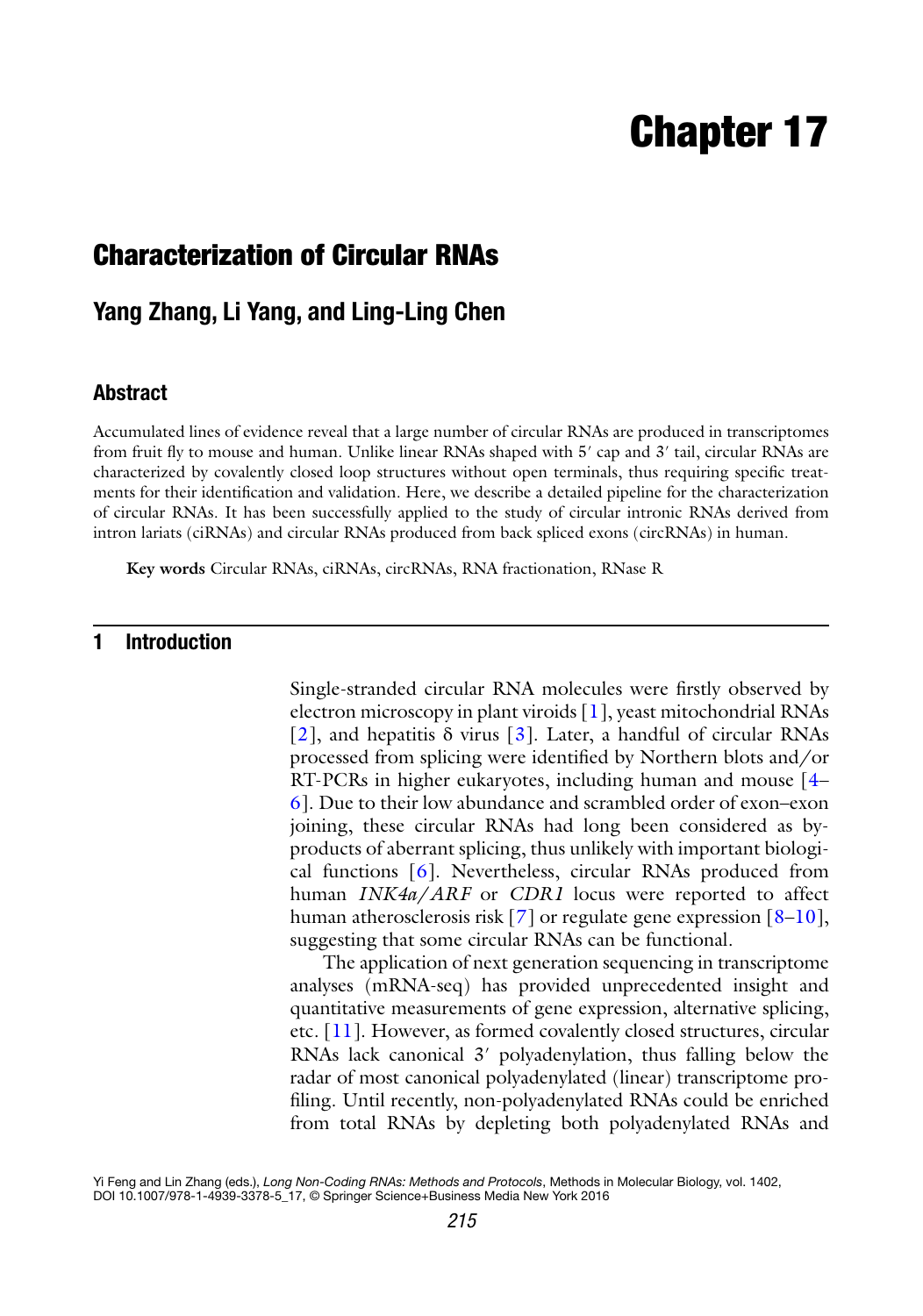# **Chapter 17**

## **Characterization of Circular RNAs**

## **Yang Zhang, Li Yang, and Ling-Ling Chen**

#### **Abstract**

Accumulated lines of evidence reveal that a large number of circular RNAs are produced in transcriptomes from fruit fly to mouse and human. Unlike linear RNAs shaped with 5' cap and 3' tail, circular RNAs are characterized by covalently closed loop structures without open terminals, thus requiring specific treatments for their identification and validation. Here, we describe a detailed pipeline for the characterization of circular RNAs. It has been successfully applied to the study of circular intronic RNAs derived from intron lariats (ciRNAs) and circular RNAs produced from back spliced exons (circRNAs) in human.

Key words Circular RNAs, ciRNAs, circRNAs, RNA fractionation, RNase R

## **1 Introduction**

Single-stranded circular RNA molecules were firstly observed by electron microscopy in plant viroids [\[ 1](#page-11-0)], yeast mitochondrial RNAs [2], and hepatitis  $\delta$  virus [3]. Later, a handful of circular RNAs processed from splicing were identified by Northern blots and/or RT-PCRs in higher eukaryotes, including human and mouse [4– [6\]](#page-11-0). Due to their low abundance and scrambled order of exon–exon joining, these circular RNAs had long been considered as byproducts of aberrant splicing, thus unlikely with important biological functions [6]. Nevertheless, circular RNAs produced from human *INK4a*/ *ARF* or *CDR1* locus were reported to affect human atherosclerosis risk  $[7]$  or regulate gene expression  $[8-10]$ , suggesting that some circular RNAs can be functional.

The application of next generation sequencing in transcriptome analyses (mRNA-seq) has provided unprecedented insight and quantitative measurements of gene expression, alternative splicing, etc. [\[ 11](#page-11-0)]. However, as formed covalently closed structures, circular RNAs lack canonical 3′ polyadenylation, thus falling below the radar of most canonical polyadenylated (linear) transcriptome profiling. Until recently, non-polyadenylated RNAs could be enriched from total RNAs by depleting both polyadenylated RNAs and

Yi Feng and Lin Zhang (eds.), *Long Non-Coding RNAs: Methods and Protocols*, Methods in Molecular Biology, vol. 1402, DOI 10.1007/978-1-4939-3378-5\_17, © Springer Science+Business Media New York 2016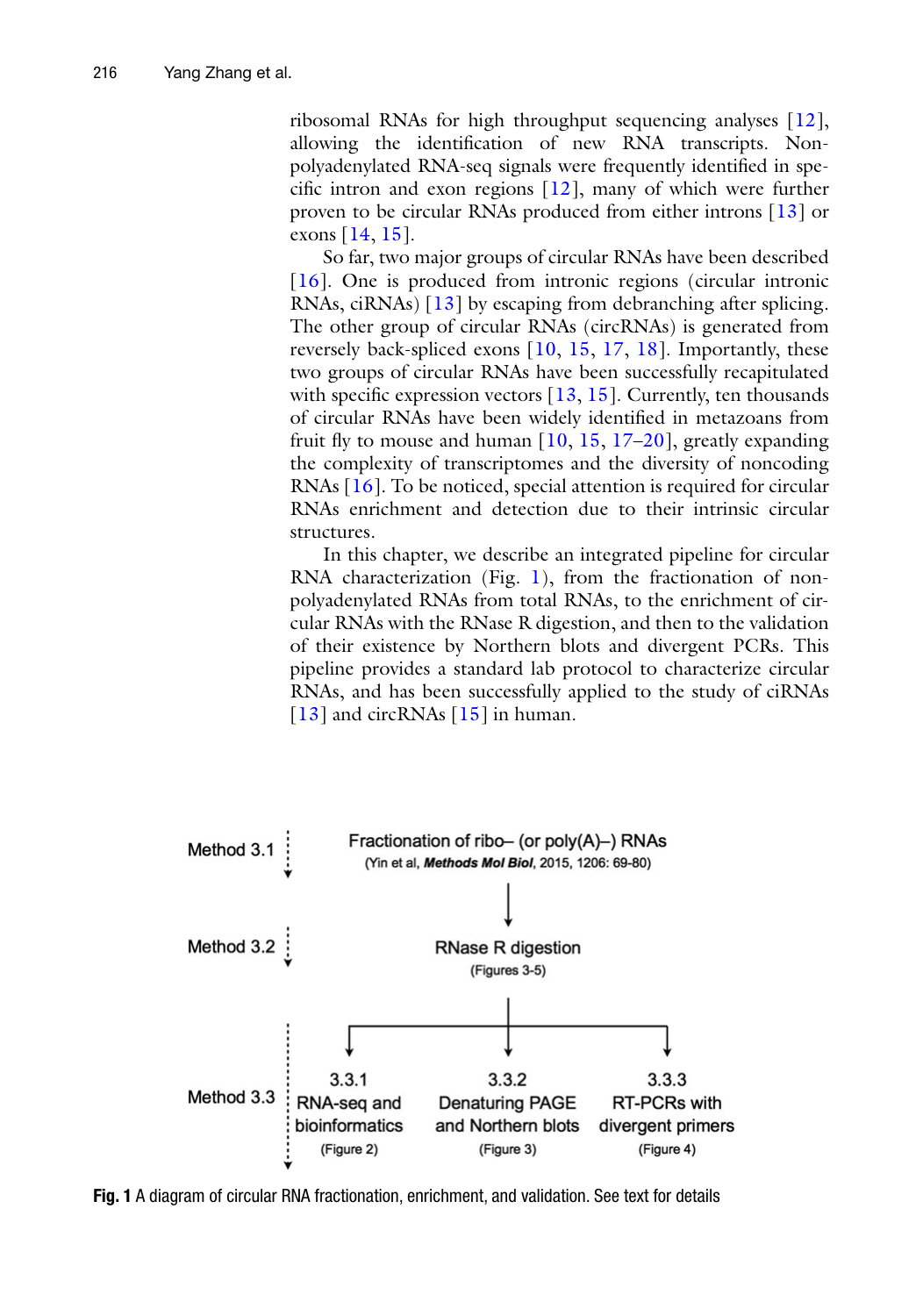ribosomal RNAs for high throughput sequencing analyses  $[12]$ , allowing the identification of new RNA transcripts. Nonpolyadenylated RNA-seq signals were frequently identified in specific intron and exon regions  $[12]$ , many of which were further proven to be circular RNAs produced from either introns [ [13](#page-11-0)] or exons [ [14,](#page-11-0) [15](#page-12-0)].

So far, two major groups of circular RNAs have been described [16]. One is produced from intronic regions (circular intronic RNAs, ciRNAs) [13] by escaping from debranching after splicing. The other group of circular RNAs (circRNAs) is generated from reversely back-spliced exons  $[10, 15, 17, 18]$  $[10, 15, 17, 18]$  $[10, 15, 17, 18]$  $[10, 15, 17, 18]$  $[10, 15, 17, 18]$  $[10, 15, 17, 18]$ . Importantly, these two groups of circular RNAs have been successfully recapitulated with specific expression vectors  $[13, 15]$  $[13, 15]$ . Currently, ten thousands of circular RNAs have been widely identified in metazoans from fruit fly to mouse and human  $[10, 15, 17–20]$  $[10, 15, 17–20]$  $[10, 15, 17–20]$  $[10, 15, 17–20]$  $[10, 15, 17–20]$ , greatly expanding the complexity of transcriptomes and the diversity of noncoding RNAs [16]. To be noticed, special attention is required for circular RNAs enrichment and detection due to their intrinsic circular structures.

In this chapter, we describe an integrated pipeline for circular RNA characterization (Fig. 1), from the fractionation of nonpolyadenylated RNAs from total RNAs, to the enrichment of circular RNAs with the RNase Rdigestion, and then to the validation of their existence by Northern blotsand divergent PCRs. This pipeline provides a standard lab protocol to characterize circular RNAs , and has been successfully applied to the study of ciRNAs [ $13$ ] and circRNAs [ $15$ ] in human.



 **Fig. 1** A diagram of circular RNA fractionation , enrichment, and validation. See text for details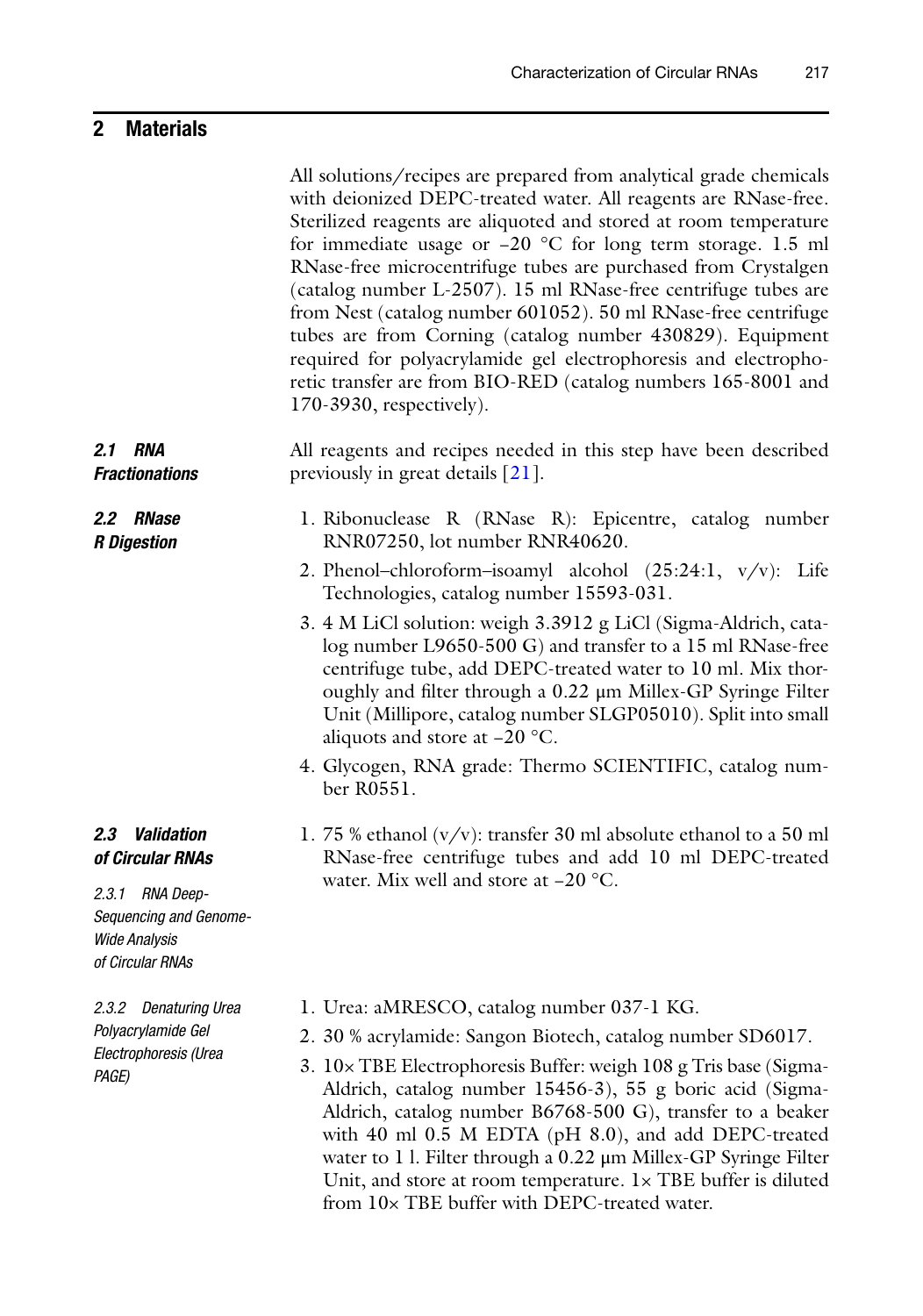## **2 Materials**

|                                                                                                                                | All solutions/recipes are prepared from analytical grade chemicals<br>with deionized DEPC-treated water. All reagents are RNase-free.<br>Sterilized reagents are aliquoted and stored at room temperature<br>for immediate usage or $-20$ °C for long term storage. 1.5 ml<br>RNase-free microcentrifuge tubes are purchased from Crystalgen<br>(catalog number L-2507). 15 ml RNase-free centrifuge tubes are<br>from Nest (catalog number 601052). 50 ml RNase-free centrifuge<br>tubes are from Corning (catalog number 430829). Equipment<br>required for polyacrylamide gel electrophoresis and electropho-<br>retic transfer are from BIO-RED (catalog numbers 165-8001 and<br>170-3930, respectively). |
|--------------------------------------------------------------------------------------------------------------------------------|---------------------------------------------------------------------------------------------------------------------------------------------------------------------------------------------------------------------------------------------------------------------------------------------------------------------------------------------------------------------------------------------------------------------------------------------------------------------------------------------------------------------------------------------------------------------------------------------------------------------------------------------------------------------------------------------------------------|
| 2.1 RNA<br><b>Fractionations</b>                                                                                               | All reagents and recipes needed in this step have been described<br>previously in great details $[21]$ .                                                                                                                                                                                                                                                                                                                                                                                                                                                                                                                                                                                                      |
| 2.2 RNase<br><b>R</b> Digestion                                                                                                | 1. Ribonuclease R (RNase R): Epicentre, catalog number<br>RNR07250, lot number RNR40620.                                                                                                                                                                                                                                                                                                                                                                                                                                                                                                                                                                                                                      |
|                                                                                                                                | 2. Phenol-chloroform-isoamyl alcohol $(25:24:1, v/v)$ : Life<br>Technologies, catalog number 15593-031.                                                                                                                                                                                                                                                                                                                                                                                                                                                                                                                                                                                                       |
|                                                                                                                                | 3. 4 M LiCl solution: weigh 3.3912 g LiCl (Sigma-Aldrich, cata-<br>log number L9650-500 G) and transfer to a 15 ml RNase-free<br>centrifuge tube, add DEPC-treated water to 10 ml. Mix thor-<br>oughly and filter through a 0.22 µm Millex-GP Syringe Filter<br>Unit (Millipore, catalog number SLGP05010). Split into small<br>aliquots and store at $-20$ °C.                                                                                                                                                                                                                                                                                                                                               |
|                                                                                                                                | 4. Glycogen, RNA grade: Thermo SCIENTIFIC, catalog num-<br>ber R0551.                                                                                                                                                                                                                                                                                                                                                                                                                                                                                                                                                                                                                                         |
| 2.3<br>Validation<br>of Circular RNAs<br>2.3.1 RNA Deep-<br>Sequencing and Genome-<br><b>Wide Analysis</b><br>of Circular RNAs | 1. 75 % ethanol $(v/v)$ : transfer 30 ml absolute ethanol to a 50 ml<br>RNase-free centrifuge tubes and add 10 ml DEPC-treated<br>water. Mix well and store at $-20$ °C.                                                                                                                                                                                                                                                                                                                                                                                                                                                                                                                                      |
| 2.3.2 Denaturing Urea<br>Polyacrylamide Gel<br>Electrophoresis (Urea<br>PAGE)                                                  | 1. Urea: aMRESCO, catalog number 037-1 KG.<br>2. 30 % acrylamide: Sangon Biotech, catalog number SD6017.<br>3. 10x TBE Electrophoresis Buffer: weigh 108 g Tris base (Sigma-<br>Aldrich, catalog number 15456-3), 55 g boric acid (Sigma-<br>Aldrich, catalog number B6768-500 G), transfer to a beaker<br>with 40 ml 0.5 M EDTA (pH 8.0), and add DEPC-treated<br>water to 11. Filter through a 0.22 µm Millex-GP Syringe Filter<br>Unit, and store at room temperature. $1 \times$ TBE buffer is diluted<br>from 10x TBE buffer with DEPC-treated water.                                                                                                                                                    |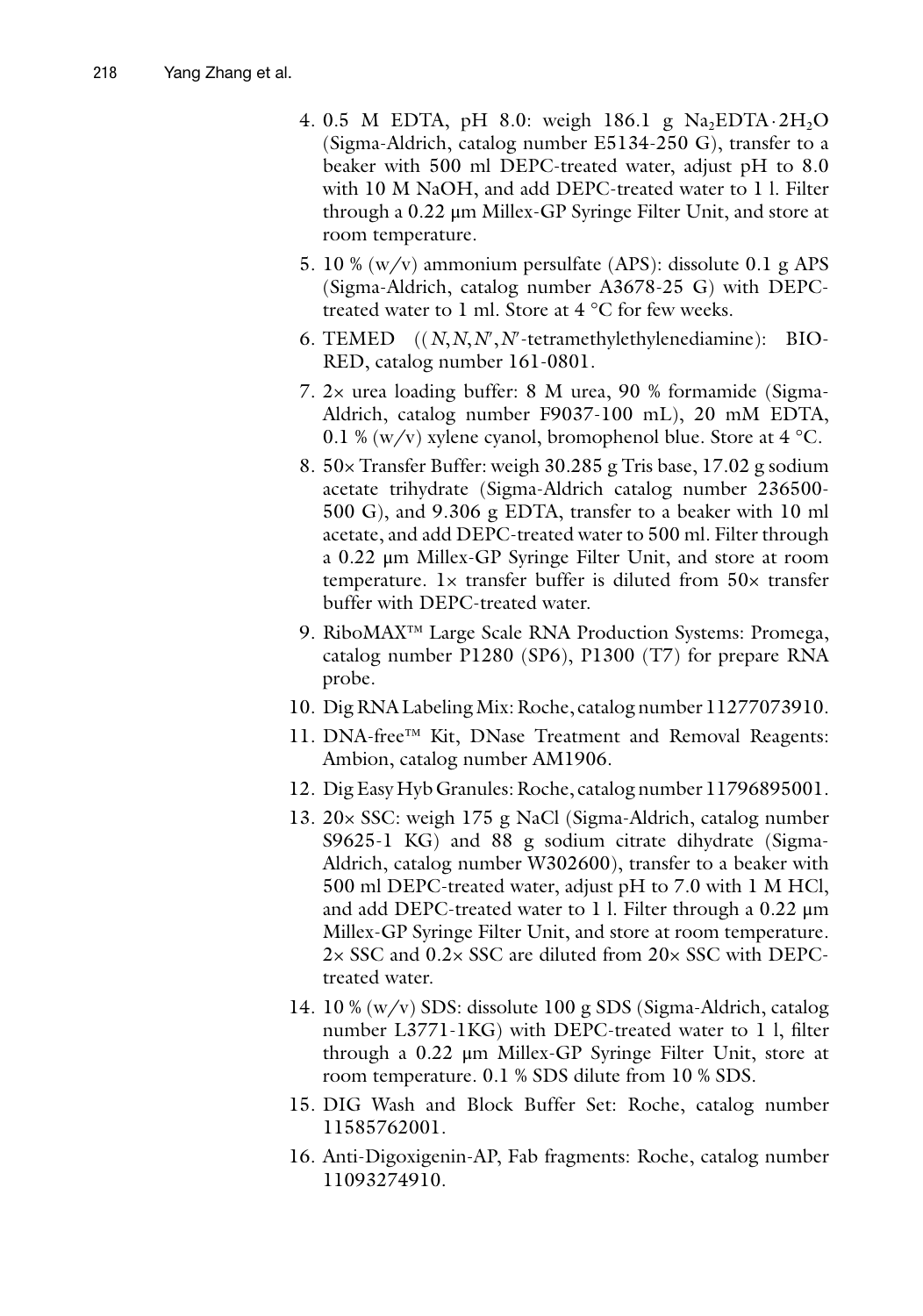- 4. 0.5 M EDTA, pH 8.0: weigh 186.1 g Na<sub>2</sub>EDTA $\cdot$ 2H<sub>2</sub>O (Sigma-Aldrich, catalog number E5134-250 G), transfer to a beaker with 500 ml DEPC-treated water, adjust pH to 8.0 with 10 M NaOH, and add DEPC-treated water to 1 l. Filter through a 0.22 μm Millex-GP Syringe Filter Unit, and store at room temperature.
- 5. 10 % (w/v) ammonium persulfate (APS): dissolute 0.1 g APS (Sigma-Aldrich, catalog number A3678-25 G) with DEPCtreated water to 1 ml. Store at 4 °C for few weeks.
- 6. TEMED (( *N*, *N*, *N*′, *N*′-tetramethylethylenediamine): BIO-RED, catalog number 161-0801.
- 7. 2× urea loading buffer: 8 M urea, 90 % formamide (Sigma-Aldrich, catalog number F9037-100 mL), 20 mM EDTA, 0.1 % (w/v) xylene cyanol, bromophenol blue. Store at  $4^{\circ}$ C.
- 8. 50× Transfer Buffer: weigh 30.285 g Tris base, 17.02 g sodium acetate trihydrate (Sigma-Aldrich catalog number 236500- 500 G), and 9.306 g EDTA, transfer to a beaker with 10 ml acetate, and add DEPC-treated water to 500 ml. Filter through a 0.22 μm Millex-GP Syringe Filter Unit, and store at room temperature.  $1 \times$  transfer buffer is diluted from  $50 \times$  transfer buffer with DEPC-treated water.
- 9. RiboMAX™ Large Scale RNA Production Systems: Promega, catalog number P1280 (SP6), P1300 (T7) for prepare RNA probe.
- 10. Dig RNA Labeling Mix: Roche, catalog number 11277073910.
- 11. DNA-free™ Kit, DNase Treatment and Removal Reagents: Ambion, catalog number AM1906.
- 12. Dig Easy Hyb Granules: Roche, catalog number 11796895001.
- 13. 20× SSC: weigh 175 g NaCl (Sigma-Aldrich, catalog number S9625-1 KG) and 88 g sodium citrate dihydrate (Sigma-Aldrich, catalog number W302600), transfer to a beaker with 500 ml DEPC-treated water, adjust pH to 7.0 with 1 M HCl, and add DEPC-treated water to 1 l. Filter through a 0.22 μm Millex-GP Syringe Filter Unit, and store at room temperature. 2× SSC and 0.2× SSC are diluted from 20× SSC with DEPCtreated water.
- 14. 10 % (w/v) SDS: dissolute 100 g SDS (Sigma-Aldrich, catalog number  $L3771-1KG$ ) with DEPC-treated water to 1 l, filter through a 0.22 μm Millex-GP Syringe Filter Unit, store at room temperature. 0.1 % SDS dilute from 10 % SDS.
- 15. DIG Wash and Block Buffer Set: Roche, catalog number 11585762001.
- 16. Anti-Digoxigenin-AP, Fab fragments: Roche, catalog number 11093274910.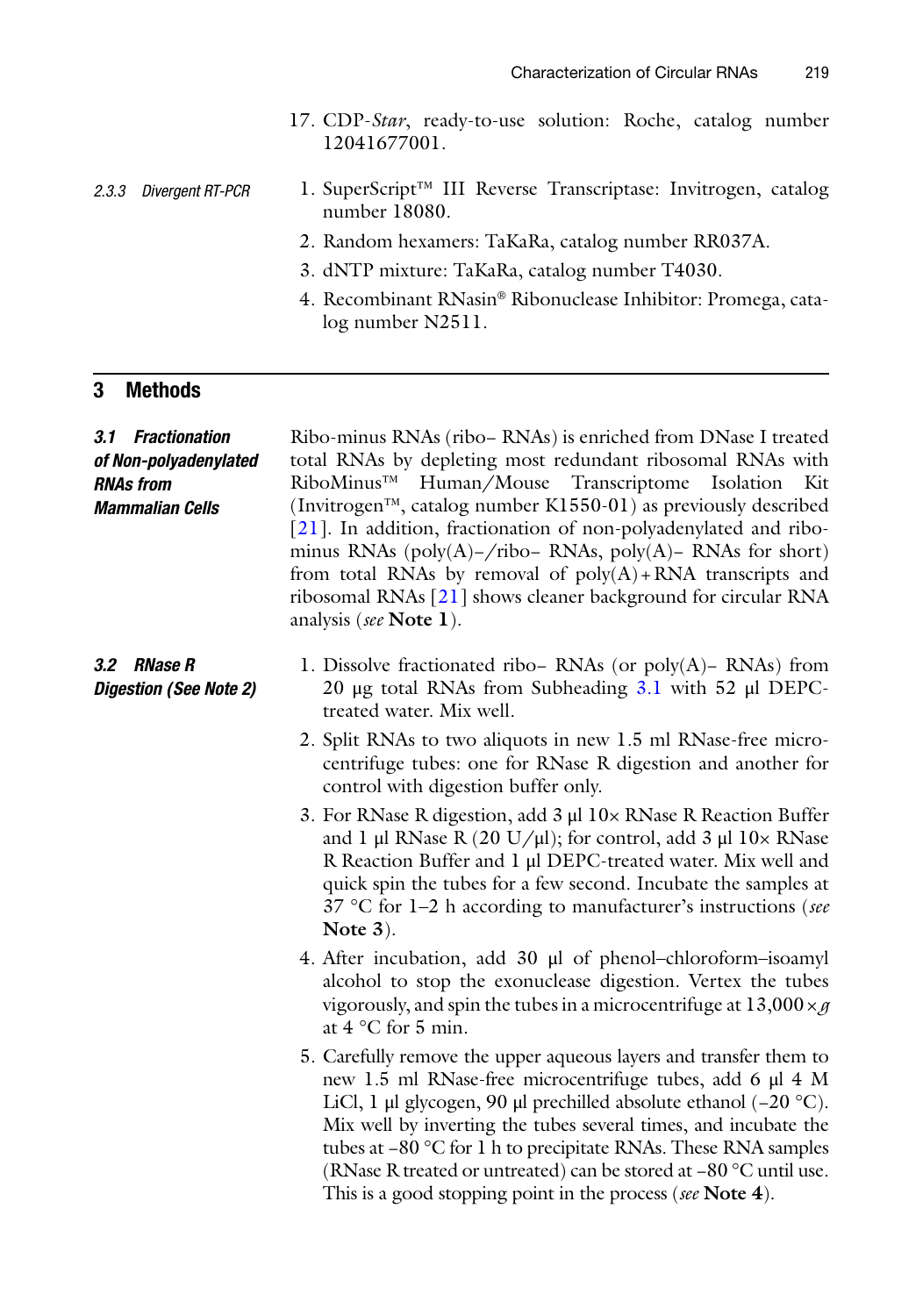- 17. CDP- *Star*, ready-to-use solution: Roche, catalog number 12041677001.
- <span id="page-4-0"></span> 1. SuperScript™ III Reverse Transcriptase: Invitrogen, catalog number 18080. *2.3.3 Divergent RT-PCR*
	- 2. Random hexamers: TaKaRa, catalog number RR037A.
	- 3. dNTP mixture: TaKaRa, catalog number T4030.
	- 4. Recombinant RNasin® Ribonuclease Inhibitor: Promega, catalog number N2511.

## **3 Methods**

| 3.1 Fractionation<br>of Non-polyadenylated<br><b>RNAs from</b><br><b>Mammalian Cells</b> | Ribo-minus RNAs (ribo-RNAs) is enriched from DNase I treated<br>total RNAs by depleting most redundant ribosomal RNAs with<br>Human/Mouse Transcriptome Isolation<br>RiboMinus™<br>Kit<br>(Invitrogen™, catalog number K1550-01) as previously described<br>[21]. In addition, fractionation of non-polyadenylated and ribo-<br>minus RNAs (poly(A)-/ribo- RNAs, poly(A)- RNAs for short)<br>from total RNAs by removal of $poly(A)$ +RNA transcripts and<br>ribosomal RNAs [21] shows cleaner background for circular RNA<br>analysis (see Note 1). |
|------------------------------------------------------------------------------------------|------------------------------------------------------------------------------------------------------------------------------------------------------------------------------------------------------------------------------------------------------------------------------------------------------------------------------------------------------------------------------------------------------------------------------------------------------------------------------------------------------------------------------------------------------|
| 3.2 RNase R<br><b>Digestion (See Note 2)</b>                                             | 1. Dissolve fractionated ribo-RNAs (or poly $(A)$ -RNAs) from<br>20 $\mu$ g total RNAs from Subheading 3.1 with 52 $\mu$ l DEPC-<br>treated water. Mix well.                                                                                                                                                                                                                                                                                                                                                                                         |
|                                                                                          | 2. Split RNAs to two aliquots in new 1.5 ml RNase-free micro-<br>centrifuge tubes: one for RNase R digestion and another for<br>control with digestion buffer only.                                                                                                                                                                                                                                                                                                                                                                                  |
|                                                                                          | 3. For RNase R digestion, add 3 µl 10x RNase R Reaction Buffer<br>and 1 µl RNase R (20 U/µl); for control, add 3 µl $10 \times$ RNase<br>R Reaction Buffer and 1 µl DEPC-treated water. Mix well and<br>quick spin the tubes for a few second. Incubate the samples at<br>37 °C for 1-2 h according to manufacturer's instructions (see<br>Note 3).                                                                                                                                                                                                  |
|                                                                                          | 4. After incubation, add 30 µl of phenol-chloroform-isoamyl<br>alcohol to stop the exonuclease digestion. Vertex the tubes<br>vigorously, and spin the tubes in a microcentrifuge at $13,000 \times g$<br>at $4^{\circ}$ C for 5 min.                                                                                                                                                                                                                                                                                                                |
|                                                                                          | 5. Carefully remove the upper aqueous layers and transfer them to<br>new 1.5 ml RNase-free microcentrifuge tubes, add 6 µl 4 M<br>LiCl, 1 µl glycogen, 90 µl prechilled absolute ethanol $(-20 \degree C)$ .<br>Mix well by inverting the tubes several times, and incubate the<br>tubes at $-80$ °C for 1 h to precipitate RNAs. These RNA samples<br>(RNase R treated or untreated) can be stored at $-80$ °C until use.<br>This is a good stopping point in the process (see Note 4).                                                             |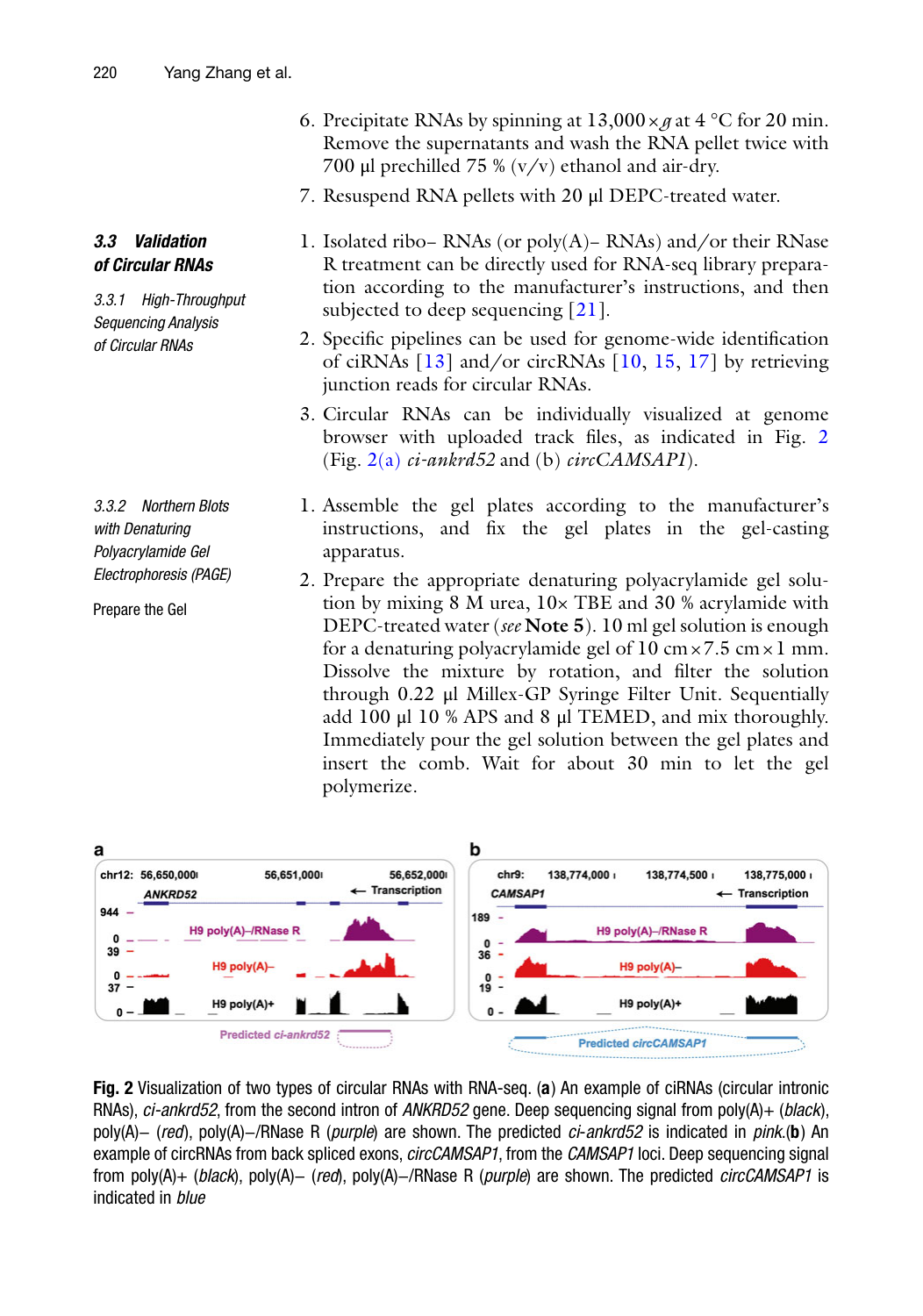- 6. Precipitate RNAs by spinning at  $13,000 \times g$  at  $4^{\circ}$ C for 20 min. Remove the supernatants and wash the RNA pellet twice with 700 μl prechilled 75 %  $(v/v)$  ethanol and air-dry.
- 7. Resuspend RNA pellets with 20 μl DEPC-treated water.
- 1. Isolated ribo− RNAs (or poly(A)− RNAs) and/or their RNase R treatment can be directly used for RNA-seq library preparation according to the manufacturer's instructions, and then subjected to deep sequencing  $[21]$ .
	- 2. Specific pipelines can be used for genome-wide identification of ciRNAs  $[13]$  and/or circRNAs  $[10, 15, 17]$  $[10, 15, 17]$  $[10, 15, 17]$  $[10, 15, 17]$  $[10, 15, 17]$  by retrieving junction reads for circular RNAs.
	- 3. Circular RNAs can be individually visualized at genome browser with uploaded track files, as indicated in Fig.  $2$  $(Fig. 2(a)$  *ci-ankrd*52 and (b) *circCAMSAP1*).

*3.3.2 Northern Blots with Denaturing Polyacrylamide Gel Electrophoresis (PAGE)*

*3.3 Validation of Circular RNAs*

*3.3.1 High-Throughput Sequencing Analysis of Circular RNAs*

Prepare the Gel

- 1. Assemble the gel plates according to the manufacturer's instructions, and fix the gel plates in the gel-casting apparatus.
- 2. Prepare the appropriate denaturing polyacrylamide gel solution by mixing  $8 \text{ M}$  urea,  $10 \times \text{TBE}$  and  $30 \%$  acrylamide with DEPC- treated water ( *see* **Note 5**). 10 ml gel solution is enough for a denaturing polyacrylamide gel of 10 cm  $\times$  7.5 cm  $\times$  1 mm. Dissolve the mixture by rotation, and filter the solution through 0.22 μl Millex-GP Syringe Filter Unit. Sequentially add 100 μl 10 % APS and 8 μl TEMED, and mix thoroughly. Immediately pour the gel solution between the gel plates and insert the comb. Wait for about 30 min to let the gel polymerize.



 **Fig. 2** Visualization of two types of circular RNAs with RNA-seq . ( **a** ) An example of ciRNAs (circular intronic RNAs), *ci - ankrd52* , from the second intron of *ANKRD52* gene. Deep sequencing signal from poly(A)+ ( *black* ), poly(A)− ( *red* ), poly(A)−/RNase R ( *purple* ) are shown. The predicted *ci* - *ankrd52* is indicated in *pink* .( **b** ) An example of circRNAs from back spliced exons, *circCAMSAP1* , from the *CAMSAP1* loci. Deep sequencing signal from poly(A)+ ( *black* ), poly(A)− ( *red* ), poly(A)−/RNase R ( *purple* ) are shown. The predicted *circCAMSAP1* is indicated in *blue*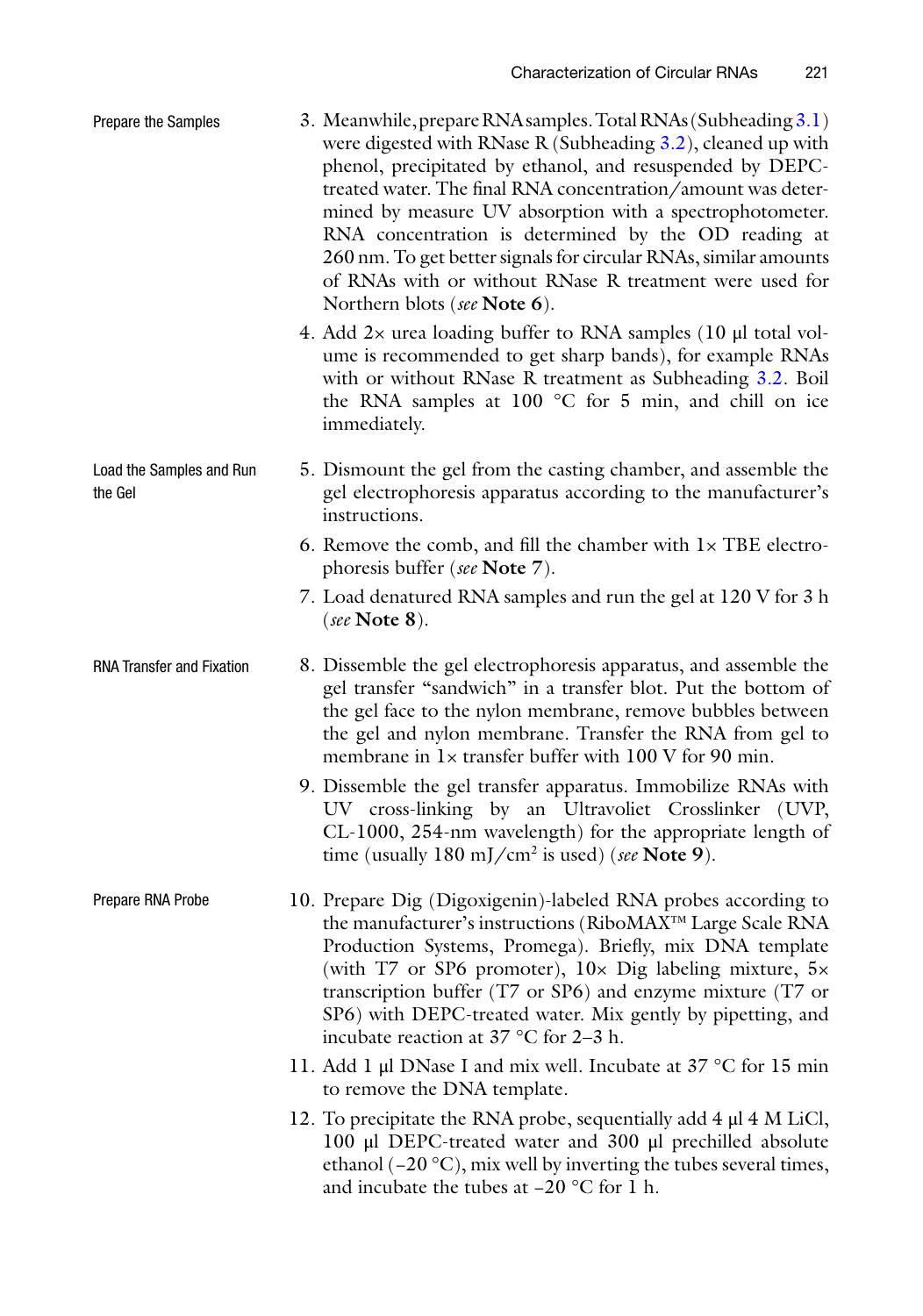| 3. Meanwhile, prepare RNA samples. Total RNAs (Subheading 3.1)<br>were digested with RNase R (Subheading 3.2), cleaned up with<br>phenol, precipitated by ethanol, and resuspended by DEPC-<br>treated water. The final RNA concentration/amount was deter-<br>mined by measure UV absorption with a spectrophotometer.<br>RNA concentration is determined by the OD reading at<br>260 nm. To get better signals for circular RNAs, similar amounts<br>of RNAs with or without RNase R treatment were used for<br>Northern blots (see Note 6). |
|------------------------------------------------------------------------------------------------------------------------------------------------------------------------------------------------------------------------------------------------------------------------------------------------------------------------------------------------------------------------------------------------------------------------------------------------------------------------------------------------------------------------------------------------|
| 4. Add 2x urea loading buffer to RNA samples (10 µl total vol-<br>ume is recommended to get sharp bands), for example RNAs<br>with or without RNase R treatment as Subheading 3.2. Boil<br>the RNA samples at 100 °C for 5 min, and chill on ice<br>immediately.                                                                                                                                                                                                                                                                               |
| 5. Dismount the gel from the casting chamber, and assemble the<br>gel electrophoresis apparatus according to the manufacturer's<br>instructions.                                                                                                                                                                                                                                                                                                                                                                                               |
| 6. Remove the comb, and fill the chamber with $1 \times$ TBE electro-<br>phoresis buffer (see Note 7).                                                                                                                                                                                                                                                                                                                                                                                                                                         |
| 7. Load denatured RNA samples and run the gel at 120 V for 3 h<br>(see Note $8$ ).                                                                                                                                                                                                                                                                                                                                                                                                                                                             |
| 8. Dissemble the gel electrophoresis apparatus, and assemble the<br>gel transfer "sandwich" in a transfer blot. Put the bottom of<br>the gel face to the nylon membrane, remove bubbles between<br>the gel and nylon membrane. Transfer the RNA from gel to<br>membrane in $1 \times$ transfer buffer with $100 \text{ V}$ for 90 min.                                                                                                                                                                                                         |
| 9. Dissemble the gel transfer apparatus. Immobilize RNAs with<br>UV cross-linking by an Ultravoliet Crosslinker (UVP,<br>CL-1000, 254-nm wavelength) for the appropriate length of<br>time (usually 180 mJ/cm <sup>2</sup> is used) (see Note 9).                                                                                                                                                                                                                                                                                              |
| 10. Prepare Dig (Digoxigenin)-labeled RNA probes according to<br>the manufacturer's instructions (RiboMAX <sup>TM</sup> Large Scale RNA<br>Production Systems, Promega). Briefly, mix DNA template<br>(with T7 or SP6 promoter), $10 \times$ Dig labeling mixture, $5 \times$<br>transcription buffer (T7 or SP6) and enzyme mixture (T7 or<br>SP6) with DEPC-treated water. Mix gently by pipetting, and<br>incubate reaction at 37 °C for 2–3 h.                                                                                             |
| 11. Add 1 µl DNase I and mix well. Incubate at 37 °C for 15 min<br>to remove the DNA template.                                                                                                                                                                                                                                                                                                                                                                                                                                                 |
| 12. To precipitate the RNA probe, sequentially add $4 \mu 4$ M LiCl,<br>100 µl DEPC-treated water and 300 µl prechilled absolute<br>ethanol ( $-20$ °C), mix well by inverting the tubes several times,<br>and incubate the tubes at $-20$ °C for 1 h.                                                                                                                                                                                                                                                                                         |
|                                                                                                                                                                                                                                                                                                                                                                                                                                                                                                                                                |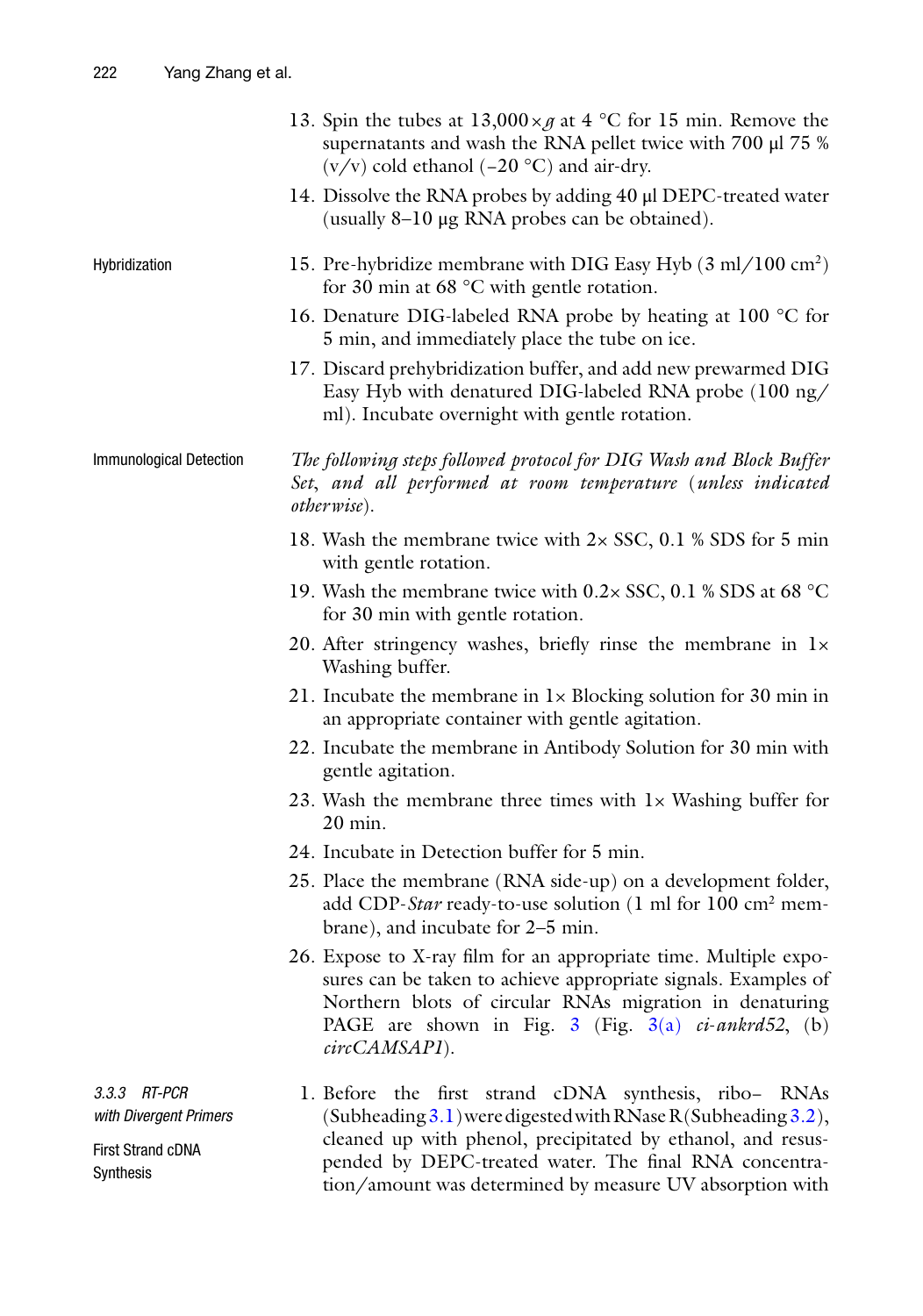|                                                                    | 13. Spin the tubes at $13,000 \times g$ at 4 °C for 15 min. Remove the<br>supernatants and wash the RNA pellet twice with 700 µl 75 %<br>$(v/v)$ cold ethanol (-20 °C) and air-dry.                                                                                             |
|--------------------------------------------------------------------|---------------------------------------------------------------------------------------------------------------------------------------------------------------------------------------------------------------------------------------------------------------------------------|
|                                                                    | 14. Dissolve the RNA probes by adding 40 µl DEPC-treated water<br>(usually 8–10 μg RNA probes can be obtained).                                                                                                                                                                 |
| Hybridization                                                      | 15. Pre-hybridize membrane with DIG Easy Hyb $(3 \text{ ml}/100 \text{ cm}^2)$<br>for 30 min at 68 $^{\circ}$ C with gentle rotation.                                                                                                                                           |
|                                                                    | 16. Denature DIG-labeled RNA probe by heating at $100 \degree C$ for<br>5 min, and immediately place the tube on ice.                                                                                                                                                           |
|                                                                    | 17. Discard prehybridization buffer, and add new prewarmed DIG<br>Easy Hyb with denatured DIG-labeled RNA probe (100 ng/<br>ml). Incubate overnight with gentle rotation.                                                                                                       |
| Immunological Detection                                            | The following steps followed protocol for DIG Wash and Block Buffer<br>Set, and all performed at room temperature (unless indicated<br><i>otherwise</i> ).                                                                                                                      |
|                                                                    | 18. Wash the membrane twice with $2 \times$ SSC, 0.1 % SDS for 5 min<br>with gentle rotation.                                                                                                                                                                                   |
|                                                                    | 19. Wash the membrane twice with $0.2 \times$ SSC, 0.1 % SDS at 68 °C<br>for 30 min with gentle rotation.                                                                                                                                                                       |
|                                                                    | 20. After stringency washes, briefly rinse the membrane in $1 \times$<br>Washing buffer.                                                                                                                                                                                        |
|                                                                    | 21. Incubate the membrane in $1 \times$ Blocking solution for 30 min in<br>an appropriate container with gentle agitation.                                                                                                                                                      |
|                                                                    | 22. Incubate the membrane in Antibody Solution for 30 min with<br>gentle agitation.                                                                                                                                                                                             |
|                                                                    | 23. Wash the membrane three times with $1\times$ Washing buffer for<br>$20 \text{ min.}$                                                                                                                                                                                        |
|                                                                    | 24. Incubate in Detection buffer for 5 min.                                                                                                                                                                                                                                     |
|                                                                    | 25. Place the membrane (RNA side-up) on a development folder,<br>add CDP-Star ready-to-use solution (1 ml for 100 cm <sup>2</sup> mem-<br>brane), and incubate for 2–5 min.                                                                                                     |
|                                                                    | 26. Expose to X-ray film for an appropriate time. Multiple expo-<br>sures can be taken to achieve appropriate signals. Examples of<br>Northern blots of circular RNAs migration in denaturing<br>PAGE are shown in Fig. 3 (Fig. $3(a)$ <i>ci-ankrd</i> 52, (b)<br>circCAMSAP1). |
| 3.3.3 RT-PCR<br>with Divergent Primers<br><b>First Strand cDNA</b> | 1. Before the first strand cDNA synthesis, ribo-RNAs<br>(Subheading $3.1$ ) were digested with RNase R(Subheading $3.2$ ),<br>cleaned up with phenol, precipitated by ethanol, and resus-                                                                                       |
| Synthesis                                                          | pended by DEPC-treated water. The final RNA concentra-<br>tion/amount was determined by measure IW absorption with                                                                                                                                                              |

tion/amount was determined by measure UV absorption with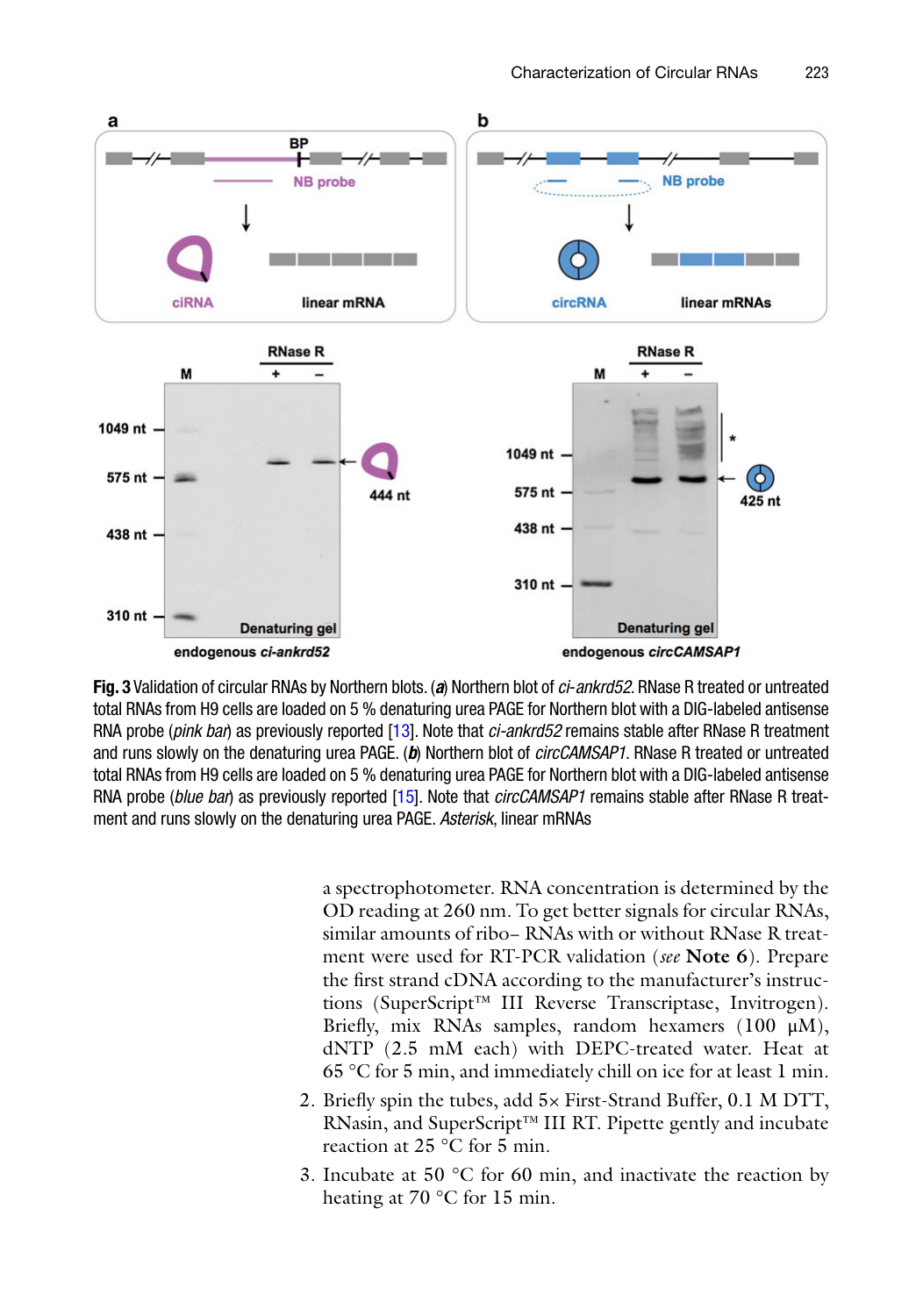<span id="page-8-0"></span>

 **Fig. 3** Validation of circular RNAs by Northern blots . ( *a* ) Northern blot of *ci* - *ankrd52* . RNase R treated or untreated total RNAs from H9 cells are loaded on 5 % denaturing urea PAGE for Northern blot with a DIG-labeled antisense RNA probe (*pink bar*) as previously reported [13]. Note that *ci-ankrd52* remains stable after RNase R treatment and runs slowly on the denaturing urea PAGE. (b) Northern blot of *circCAMSAP1*. RNase R treated or untreated total RNAs from H9 cells are loaded on 5 % denaturing urea PAGE for Northern blot with a DIG- labeled antisense RNA probe (*blue bar*) as previously reported [15]. Note that *circCAMSAP1* remains stable after RNase R treatment and runs slowly on the denaturing urea PAGE. *Asterisk* , linear mRNAs

a spectrophotometer. RNA concentration is determined by the OD reading at 260 nm. To get better signals for circular RNAs, similar amounts of ribo− RNAs with or without RNase R treatment were used for RT-PCR validation ( *see* **Note 6**). Prepare the first strand cDNA according to the manufacturer's instructions (SuperScript™ III Reverse Transcriptase, Invitrogen). Briefly, mix RNAs samples, random hexamers  $(100 \mu M)$ , dNTP (2.5 mM each) with DEPC-treated water. Heat at 65 °C for 5 min, and immediately chill on ice for at least 1 min.

- 2. Briefly spin the tubes, add  $5\times$  First-Strand Buffer, 0.1 M DTT, RNasin, and SuperScript™ III RT. Pipette gently and incubate reaction at 25 °C for 5 min.
- 3. Incubate at 50  $\degree$ C for 60 min, and inactivate the reaction by heating at 70 °C for 15 min.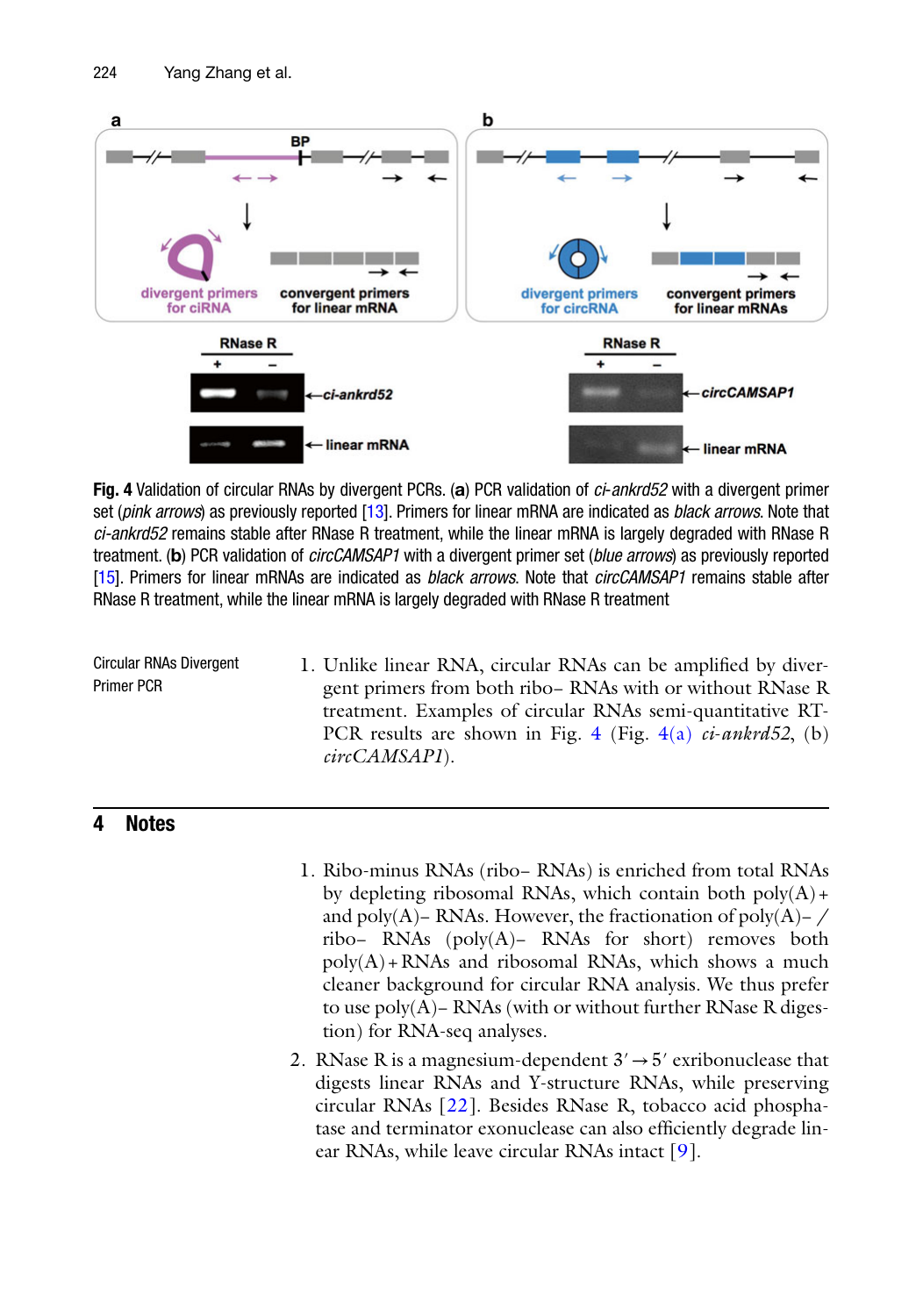<span id="page-9-0"></span>

 **Fig. 4** Validation of circular RNAs by divergent PCRs. ( **a** ) PCR validation of *ci* - *ankrd52* with a divergent primer set ( *pink arrows* ) as previously reported [ [13](#page-11-0) ]. Primers for linear mRNA are indicated as *black arrows* . Note that *ci - ankrd52* remains stable after RNase R treatment, while the linear mRNA is largely degraded with RNase R treatment. ( **b** ) PCR validation of *circCAMSAP1* with a divergent primer set ( *blue arrows* ) as previously reported [ [15](#page-12-0) ]. Primers for linear mRNAs are indicated as *black arrows* . Note that *circCAMSAP1* remains stable after RNase R treatment, while the linear mRNA is largely degraded with RNase R treatment

1. Unlike linear RNA, circular RNAs can be amplified by divergent primers from both ribo− RNAs with or without RNase R treatment. Examples of circular RNAs semi-quantitative RT-PCR results are shown in Fig. 4 (Fig.  $4(a)$  *ci-ankrd52*, (b) *circCAMSAP1*). Circular RNAs Divergent Primer PCR

## **4 Notes**

- 1. Ribo-minus RNAs (ribo− RNAs) is enriched from total RNAs by depleting ribosomal RNAs, which contain both  $poly(A) +$ and poly(A)– RNAs. However, the fractionation of poly(A)– / ribo− RNAs (poly(A)− RNAs for short) removes both  $poly(A) + RNAs$  and ribosomal RNAs, which shows a much cleaner background for circular RNA analysis. We thus prefer to use  $poly(A)$ – RNAs (with or without further RNase R digestion) for RNA-seq analyses.
- 2. RNase R is a magnesium-dependent  $3' \rightarrow 5'$  exribonuclease that digests linear RNAs and Y-structure RNAs, while preserving circular RNAs [\[ 22](#page-12-0)]. Besides RNase R, tobacco acid phosphatase and terminator exonuclease can also efficiently degrade linear RNAs, while leave circular RNAs intact [9].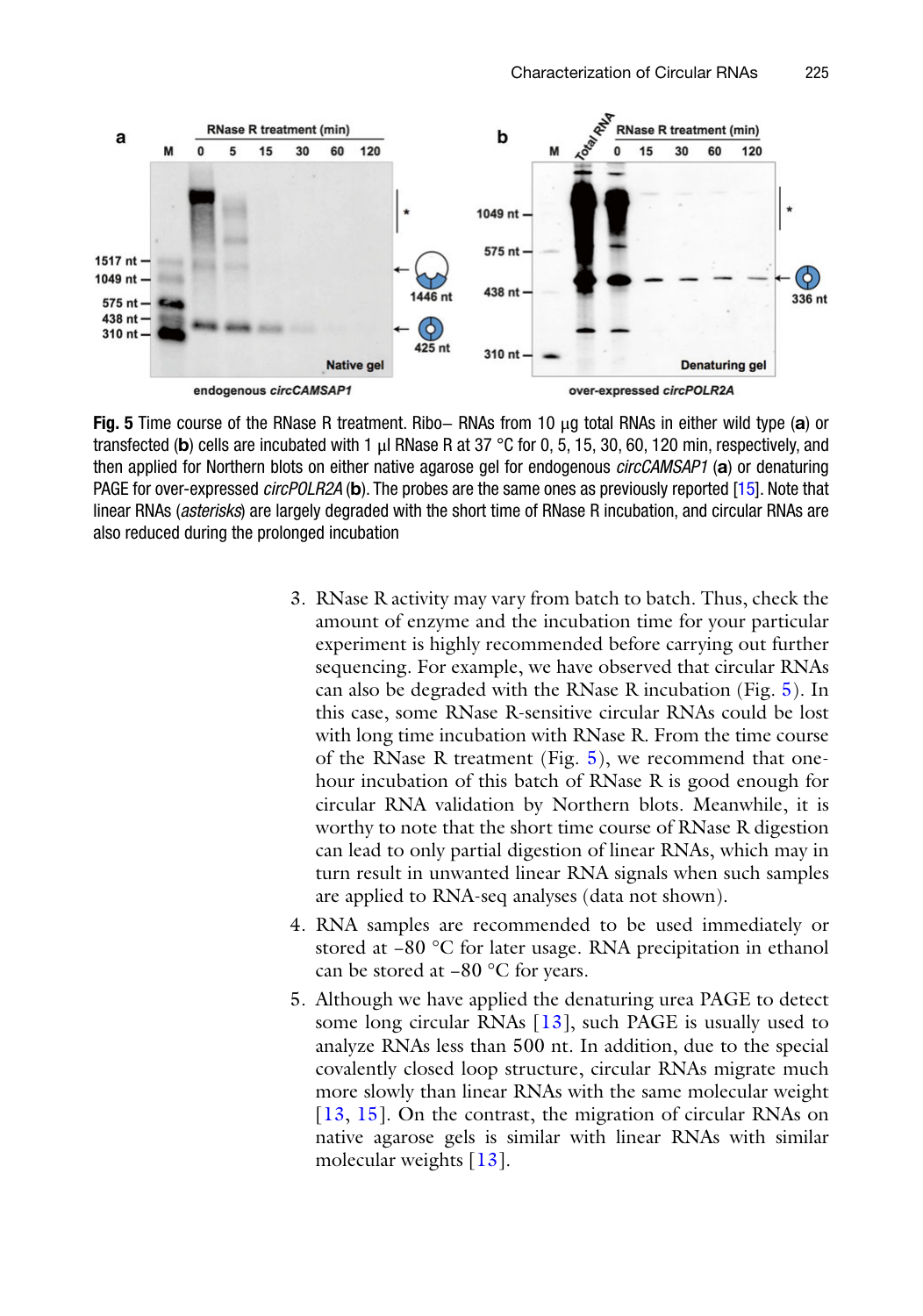

 **Fig. 5** Time course of the RNase R treatment. Ribo− RNAs from 10 μg total RNAs in either wild type ( **a** ) or transfected (b) cells are incubated with 1 μl RNase R at 37 °C for 0, 5, 15, 30, 60, 120 min, respectively, and then applied for Northern blots on either native agarose gel for endogenous *circCAMSAP1* ( **a** ) or denaturing PAGE for over-expressed *circPOLR2A* (**b**). The probes are the same ones as previously reported [15]. Note that linear RNAs ( *asterisks* ) are largely degraded with the short time of RNase R incubation, and circular RNAs are also reduced during the prolonged incubation

- 3. RNase Ractivity may vary from batch to batch. Thus, check the amount of enzyme and the incubation time for your particular experiment is highly recommended before carrying out further sequencing. For example, we have observed that circular RNAs can also be degraded with the RNase R incubation (Fig. 5). In this case, some RNase R-sensitive circular RNAs could be lost with long time incubation with RNase R. From the time course of the RNase R treatment (Fig. 5), we recommend that onehour incubation of this batch of RNase R is good enough for circular RNA validation by Northern blots. Meanwhile, it is worthy to note that the short time course of RNase R digestion can lead to only partial digestion of linear RNAs, which may in turn result in unwanted linear RNA signals when such samples are applied to RNA-seq analyses (data not shown).
- 4. RNA samples are recommended to be used immediately or stored at −80 °C for later usage. RNA precipitation in ethanol can be stored at −80 °C for years.
- 5. Although we have applied the denaturing urea PAGE to detect some long circular RNAs [13], such PAGE is usually used to analyze RNAs less than 500 nt. In addition, due to the special covalently closed loop structure, circular RNAs migrate much more slowly than linear RNAs with the same molecular weight [13, [15\]](#page-12-0). On the contrast, the migration of circular RNAs on native agarose gels is similar with linear RNAs with similar molecular weights [13].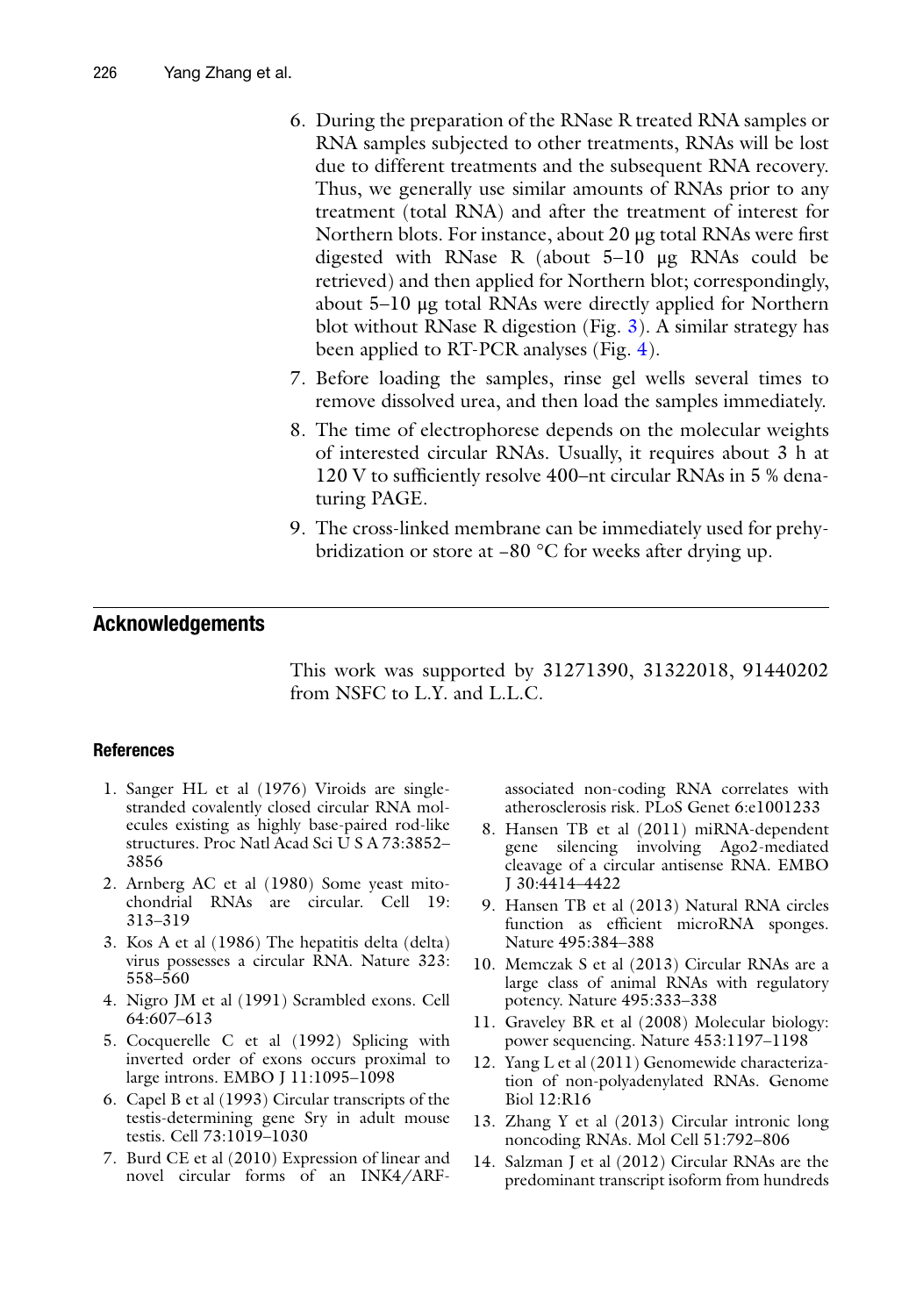- <span id="page-11-0"></span>6. During the preparation of the RNase R treated RNA samples or RNA samples subjected to other treatments, RNAs will be lost due to different treatments and the subsequent RNA recovery. Thus, we generally use similar amounts of RNAs prior to any treatment (total RNA) and after the treatment of interest for Northern blots. For instance, about 20 μg total RNAs were first digested with RNase R (about  $5-10 \mu$ g RNAs could be retrieved) and then applied for Northern blot; correspondingly, about 5–10 μg total RNAs were directly applied for Northern blot without RNase R digestion (Fig.  $3$ ). A similar strategy has been applied to RT-PCR analyses (Fig. [4](#page-9-0)).
- 7. Before loading the samples, rinse gel wells several times to remove dissolved urea, and then load the samples immediately.
- 8. The time of electrophorese depends on the molecular weights of interested circular RNAs. Usually, it requires about 3 h at  $120$  V to sufficiently resolve 400–nt circular RNAs in 5 % denaturing PAGE.
- 9. The cross-linked membrane can be immediately used for prehybridization or store at −80 °C for weeks after drying up.

#### **Acknowledgements**

This work was supported by 31271390, 31322018, 91440202 from NSFC to L.Y. and L.L.C.

#### **References**

- 1. Sanger HL et al (1976) Viroids are singlestranded covalently closed circular RNA molecules existing as highly base-paired rod-like structures. Proc Natl Acad Sci U S A 73:3852– 3856
- 2. Arnberg AC et al (1980) Some yeast mitochondrial RNAs are circular. Cell 19: 313–319
- 3. Kos A et al (1986) The hepatitis delta (delta) virus possesses a circular RNA. Nature 323: 558–560
- 4. Nigro JM et al (1991) Scrambled exons. Cell 64:607–613
- 5. Cocquerelle C et al (1992) Splicing with inverted order of exons occurs proximal to large introns. EMBO J 11:1095–1098
- 6. Capel B et al (1993) Circular transcripts of the testis-determining gene Sry in adult mouse testis. Cell 73:1019–1030
- 7. Burd CE et al (2010) Expression of linear and novel circular forms of an INK4/ARF-

associated non-coding RNA correlates with atherosclerosis risk. PLoS Genet 6:e1001233

- 8. Hansen TB et al (2011) miRNA-dependent gene silencing involving Ago2-mediated cleavage of a circular antisense RNA. EMBO J 30:4414–4422
- 9. Hansen TB et al (2013) Natural RNA circles function as efficient microRNA sponges. Nature 495:384–388
- 10. Memczak S et al (2013) Circular RNAs are a large class of animal RNAs with regulatory potency. Nature 495:333–338
- 11. Graveley BR et al (2008) Molecular biology: power sequencing. Nature 453:1197–1198
- 12. Yang L et al (2011) Genomewide characterization of non-polyadenylated RNAs. Genome Biol 12:R16
- 13. Zhang Y et al (2013) Circular intronic long noncoding RNAs. Mol Cell 51:792–806
- 14. Salzman J et al (2012) Circular RNAs are the predominant transcript isoform from hundreds